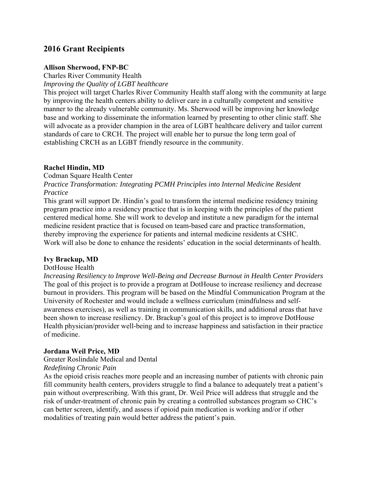# **2016 Grant Recipients**

#### **Allison Sherwood, FNP-BC**

Charles River Community Health

*Improving the Quality of LGBT healthcare* 

This project will target Charles River Community Health staff along with the community at large by improving the health centers ability to deliver care in a culturally competent and sensitive manner to the already vulnerable community. Ms. Sherwood will be improving her knowledge base and working to disseminate the information learned by presenting to other clinic staff. She will advocate as a provider champion in the area of LGBT healthcare delivery and tailor current standards of care to CRCH. The project will enable her to pursue the long term goal of establishing CRCH as an LGBT friendly resource in the community.

## **Rachel Hindin, MD**

Codman Square Health Center *Practice Transformation: Integrating PCMH Principles into Internal Medicine Resident Practice* 

This grant will support Dr. Hindin's goal to transform the internal medicine residency training program practice into a residency practice that is in keeping with the principles of the patient centered medical home. She will work to develop and institute a new paradigm for the internal medicine resident practice that is focused on team-based care and practice transformation, thereby improving the experience for patients and internal medicine residents at CSHC. Work will also be done to enhance the residents' education in the social determinants of health.

## **Ivy Brackup, MD**

#### DotHouse Health

*Increasing Resiliency to Improve Well-Being and Decrease Burnout in Health Center Providers*  The goal of this project is to provide a program at DotHouse to increase resiliency and decrease burnout in providers. This program will be based on the Mindful Communication Program at the University of Rochester and would include a wellness curriculum (mindfulness and selfawareness exercises), as well as training in communication skills, and additional areas that have been shown to increase resiliency. Dr. Brackup's goal of this project is to improve DotHouse Health physician/provider well-being and to increase happiness and satisfaction in their practice of medicine.

## **Jordana Weil Price, MD**

Greater Roslindale Medical and Dental

#### *Redefining Chronic Pain*

As the opioid crisis reaches more people and an increasing number of patients with chronic pain fill community health centers, providers struggle to find a balance to adequately treat a patient's pain without overprescribing. With this grant, Dr. Weil Price will address that struggle and the risk of under-treatment of chronic pain by creating a controlled substances program so CHC's can better screen, identify, and assess if opioid pain medication is working and/or if other modalities of treating pain would better address the patient's pain.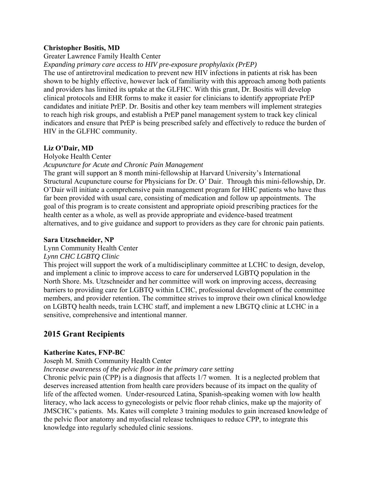## **Christopher Bositis, MD**

## Greater Lawrence Family Health Center

*Expanding primary care access to HIV pre-exposure prophylaxix (PrEP)* 

The use of antiretroviral medication to prevent new HIV infections in patients at risk has been shown to be highly effective, however lack of familiarity with this approach among both patients and providers has limited its uptake at the GLFHC. With this grant, Dr. Bositis will develop clinical protocols and EHR forms to make it easier for clinicians to identify appropriate PrEP candidates and initiate PrEP. Dr. Bositis and other key team members will implement strategies to reach high risk groups, and establish a PrEP panel management system to track key clinical indicators and ensure that PrEP is being prescribed safely and effectively to reduce the burden of HIV in the GLFHC community.

## **Liz O'Dair, MD**

#### Holyoke Health Center

*Acupuncture for Acute and Chronic Pain Management*

The grant will support an 8 month mini-fellowship at Harvard University's International Structural Acupuncture course for Physicians for Dr. O' Dair. Through this mini-fellowship, Dr. O'Dair will initiate a comprehensive pain management program for HHC patients who have thus far been provided with usual care, consisting of medication and follow up appointments. The goal of this program is to create consistent and appropriate opioid prescribing practices for the health center as a whole, as well as provide appropriate and evidence-based treatment alternatives, and to give guidance and support to providers as they care for chronic pain patients.

## **Sara Utzschneider, NP**

#### Lynn Community Health Center

## *Lynn CHC LGBTQ Clinic*

This project will support the work of a multidisciplinary committee at LCHC to design, develop, and implement a clinic to improve access to care for underserved LGBTQ population in the North Shore. Ms. Utzschneider and her committee will work on improving access, decreasing barriers to providing care for LGBTQ within LCHC, professional development of the committee members, and provider retention. The committee strives to improve their own clinical knowledge on LGBTQ health needs, train LCHC staff, and implement a new LBGTQ clinic at LCHC in a sensitive, comprehensive and intentional manner.

# **2015 Grant Recipients**

## **Katherine Kates, FNP-BC**

## Joseph M. Smith Community Health Center

*Increase awareness of the pelvic floor in the primary care setting* 

Chronic pelvic pain (CPP) is a diagnosis that affects 1/7 women. It is a neglected problem that deserves increased attention from health care providers because of its impact on the quality of life of the affected women. Under-resourced Latina, Spanish-speaking women with low health literacy, who lack access to gynecologists or pelvic floor rehab clinics, make up the majority of JMSCHC's patients. Ms. Kates will complete 3 training modules to gain increased knowledge of the pelvic floor anatomy and myofascial release techniques to reduce CPP, to integrate this knowledge into regularly scheduled clinic sessions.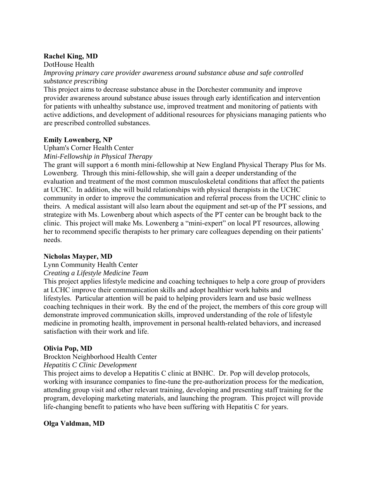## **Rachel King, MD**

DotHouse Health

*Improving primary care provider awareness around substance abuse and safe controlled substance prescribing* 

This project aims to decrease substance abuse in the Dorchester community and improve provider awareness around substance abuse issues through early identification and intervention for patients with unhealthy substance use, improved treatment and monitoring of patients with active addictions, and development of additional resources for physicians managing patients who are prescribed controlled substances.

## **Emily Lowenberg, NP**

Upham's Corner Health Center *Mini-Fellowship in Physical Therapy* 

The grant will support a 6 month mini-fellowship at New England Physical Therapy Plus for Ms. Lowenberg. Through this mini-fellowship, she will gain a deeper understanding of the evaluation and treatment of the most common musculoskeletal conditions that affect the patients at UCHC. In addition, she will build relationships with physical therapists in the UCHC community in order to improve the communication and referral process from the UCHC clinic to theirs. A medical assistant will also learn about the equipment and set-up of the PT sessions, and strategize with Ms. Lowenberg about which aspects of the PT center can be brought back to the clinic. This project will make Ms. Lowenberg a "mini-expert" on local PT resources, allowing her to recommend specific therapists to her primary care colleagues depending on their patients' needs.

## **Nicholas Mayper, MD**

## Lynn Community Health Center

## *Creating a Lifestyle Medicine Team*

This project applies lifestyle medicine and coaching techniques to help a core group of providers at LCHC improve their communication skills and adopt healthier work habits and lifestyles. Particular attention will be paid to helping providers learn and use basic wellness coaching techniques in their work. By the end of the project, the members of this core group will demonstrate improved communication skills, improved understanding of the role of lifestyle medicine in promoting health, improvement in personal health-related behaviors, and increased satisfaction with their work and life.

## **Olivia Pop, MD**

## Brockton Neighborhood Health Center

## *Hepatitis C Clinic Development*

This project aims to develop a Hepatitis C clinic at BNHC. Dr. Pop will develop protocols, working with insurance companies to fine-tune the pre-authorization process for the medication, attending group visit and other relevant training, developing and presenting staff training for the program, developing marketing materials, and launching the program. This project will provide life-changing benefit to patients who have been suffering with Hepatitis C for years.

## **Olga Valdman, MD**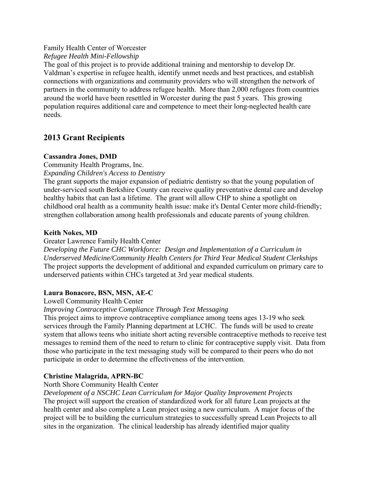# Family Health Center of Worcester

*Refugee Health Mini-Fellowship* 

The goal of this project is to provide additional training and mentorship to develop Dr. Valdman's expertise in refugee health, identify unmet needs and best practices, and establish connections with organizations and community providers who will strengthen the network of partners in the community to address refugee health. More than 2,000 refugees from countries around the world have been resettled in Worcester during the past 5 years. This growing population requires additional care and competence to meet their long-neglected health care needs.

# **2013 Grant Recipients**

## **Cassandra Jones, DMD**

Community Health Programs, Inc.

*Expanding Children's Access to Dentistry* 

The grant supports the major expansion of pediatric dentistry so that the young population of under-serviced south Berkshire County can receive quality preventative dental care and develop healthy habits that can last a lifetime. The grant will allow CHP to shine a spotlight on childhood oral health as a community health issue: make it's Dental Center more child-friendly; strengthen collaboration among health professionals and educate parents of young children.

## **Keith Nokes, MD**

Greater Lawrence Family Health Center

*Developing the Future CHC Workforce: Design and Implementation of a Curriculum in Underserved Medicine/Community Health Centers for Third Year Medical Student Clerkships*  The project supports the development of additional and expanded curriculum on primary care to underserved patients within CHCs targeted at 3rd year medical students.

## **Laura Bonacore, BSN, MSN, AE-C**

Lowell Community Health Center

## *Improving Contraceptive Compliance Through Text Messaging*

This project aims to improve contraceptive compliance among teens ages 13-19 who seek services through the Family Planning department at LCHC. The funds will be used to create system that allows teens who initiate short acting reversible contraceptive methods to receive test messages to remind them of the need to return to clinic for contraceptive supply visit. Data from those who participate in the text messaging study will be compared to their peers who do not participate in order to determine the effectiveness of the intervention.

# **Christine Malagrida, APRN-BC**

## North Shore Community Health Center

*Development of a NSCHC Lean Curriculum for Major Quality Improvement Projects*  The project will support the creation of standardized work for all future Lean projects at the health center and also complete a Lean project using a new curriculum. A major focus of the project will be to building the curriculum strategies to successfully spread Lean Projects to all sites in the organization. The clinical leadership has already identified major quality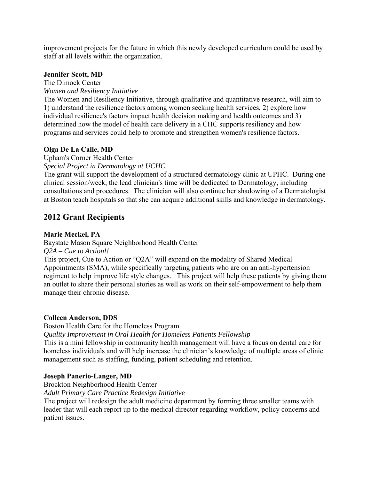improvement projects for the future in which this newly developed curriculum could be used by staff at all levels within the organization.

#### **Jennifer Scott, MD**

The Dimock Center

*Women and Resiliency Initiative* 

The Women and Resiliency Initiative, through qualitative and quantitative research, will aim to 1) understand the resilience factors among women seeking health services, 2) explore how individual resilience's factors impact health decision making and health outcomes and 3) determined how the model of health care delivery in a CHC supports resiliency and how programs and services could help to promote and strengthen women's resilience factors.

## **Olga De La Calle, MD**

Upham's Corner Health Center

*Special Project in Dermatology at UCHC* 

The grant will support the development of a structured dermatology clinic at UPHC. During one clinical session/week, the lead clinician's time will be dedicated to Dermatology, including consultations and procedures. The clinician will also continue her shadowing of a Dermatologist at Boston teach hospitals so that she can acquire additional skills and knowledge in dermatology.

# **2012 Grant Recipients**

## **Marie Meckel, PA**

Baystate Mason Square Neighborhood Health Center

*Q2A – Cue to Action!!* 

This project, Cue to Action or "Q2A" will expand on the modality of Shared Medical Appointments (SMA), while specifically targeting patients who are on an anti-hypertension regiment to help improve life style changes. This project will help these patients by giving them an outlet to share their personal stories as well as work on their self-empowerment to help them manage their chronic disease.

## **Colleen Anderson, DDS**

Boston Health Care for the Homeless Program

*Quality Improvement in Oral Health for Homeless Patients Fellowship* 

This is a mini fellowship in community health management will have a focus on dental care for homeless individuals and will help increase the clinician's knowledge of multiple areas of clinic management such as staffing, funding, patient scheduling and retention.

## **Joseph Panerio-Langer, MD**

Brockton Neighborhood Health Center

*Adult Primary Care Practice Redesign Initiative* 

The project will redesign the adult medicine department by forming three smaller teams with leader that will each report up to the medical director regarding workflow, policy concerns and patient issues.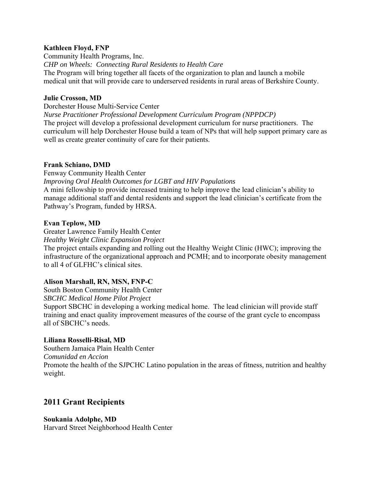## **Kathleen Floyd, FNP**

Community Health Programs, Inc. *CHP on Wheels: Connecting Rural Residents to Health Care*  The Program will bring together all facets of the organization to plan and launch a mobile medical unit that will provide care to underserved residents in rural areas of Berkshire County.

## **Julie Crosson, MD**

Dorchester House Multi-Service Center

*Nurse Practitioner Professional Development Curriculum Program (NPPDCP)*  The project will develop a professional development curriculum for nurse practitioners. The curriculum will help Dorchester House build a team of NPs that will help support primary care as well as create greater continuity of care for their patients.

#### **Frank Schiano, DMD**

Fenway Community Health Center *Improving Oral Health Outcomes for LGBT and HIV Populations*  A mini fellowship to provide increased training to help improve the lead clinician's ability to manage additional staff and dental residents and support the lead clinician's certificate from the Pathway's Program, funded by HRSA.

## **Evan Teplow, MD**

Greater Lawrence Family Health Center

*Healthy Weight Clinic Expansion Project* 

The project entails expanding and rolling out the Healthy Weight Clinic (HWC); improving the infrastructure of the organizational approach and PCMH; and to incorporate obesity management to all 4 of GLFHC's clinical sites.

## **Alison Marshall, RN, MSN, FNP-C**

South Boston Community Health Center

*SBCHC Medical Home Pilot Project* 

Support SBCHC in developing a working medical home. The lead clinician will provide staff training and enact quality improvement measures of the course of the grant cycle to encompass all of SBCHC's needs.

## **Liliana Rosselli-Risal, MD**

Southern Jamaica Plain Health Center *Comunidad en Accion*  Promote the health of the SJPCHC Latino population in the areas of fitness, nutrition and healthy weight.

# **2011 Grant Recipients**

## **Soukania Adolphe, MD**

Harvard Street Neighborhood Health Center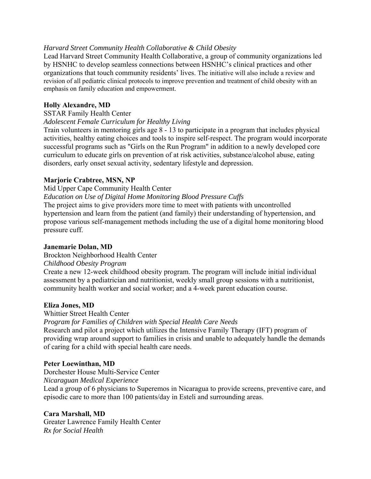## *Harvard Street Community Health Collaborative & Child Obesity*

Lead Harvard Street Community Health Collaborative, a group of community organizations led by HSNHC to develop seamless connections between HSNHC's clinical practices and other organizations that touch community residents' lives. The initiative will also include a review and revision of all pediatric clinical protocols to improve prevention and treatment of child obesity with an emphasis on family education and empowerment.

## **Holly Alexandre, MD**

#### SSTAR Family Health Center

#### *Adolescent Female Curriculum for Healthy Living*

Train volunteers in mentoring girls age 8 - 13 to participate in a program that includes physical activities, healthy eating choices and tools to inspire self-respect. The program would incorporate successful programs such as "Girls on the Run Program" in addition to a newly developed core curriculum to educate girls on prevention of at risk activities, substance/alcohol abuse, eating disorders, early onset sexual activity, sedentary lifestyle and depression.

## **Marjorie Crabtree, MSN, NP**

Mid Upper Cape Community Health Center

*Education on Use of Digital Home Monitoring Blood Pressure Cuffs* 

The project aims to give providers more time to meet with patients with uncontrolled hypertension and learn from the patient (and family) their understanding of hypertension, and propose various self-management methods including the use of a digital home monitoring blood pressure cuff.

#### **Janemarie Dolan, MD**

Brockton Neighborhood Health Center

#### *Childhood Obesity Program*

Create a new 12-week childhood obesity program. The program will include initial individual assessment by a pediatrician and nutritionist, weekly small group sessions with a nutritionist, community health worker and social worker; and a 4-week parent education course.

#### **Eliza Jones, MD**

#### Whittier Street Health Center

*Program for Families of Children with Special Health Care Needs* 

Research and pilot a project which utilizes the Intensive Family Therapy (IFT) program of providing wrap around support to families in crisis and unable to adequately handle the demands of caring for a child with special health care needs.

## **Peter Loewinthan, MD**

Dorchester House Multi-Service Center

*Nicaraguan Medical Experience* 

Lead a group of 6 physicians to Superemos in Nicaragua to provide screens, preventive care, and episodic care to more than 100 patients/day in Esteli and surrounding areas.

## **Cara Marshall, MD**

Greater Lawrence Family Health Center *Rx for Social Health*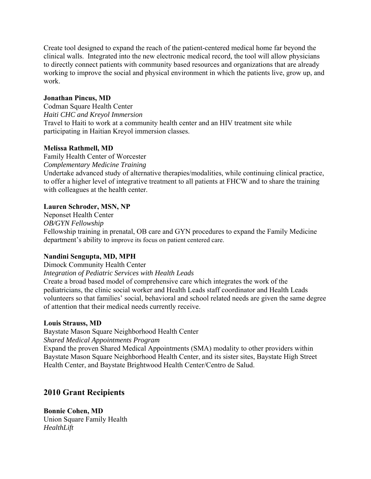Create tool designed to expand the reach of the patient-centered medical home far beyond the clinical walls. Integrated into the new electronic medical record, the tool will allow physicians to directly connect patients with community based resources and organizations that are already working to improve the social and physical environment in which the patients live, grow up, and work.

## **Jonathan Pincus, MD**

Codman Square Health Center *Haiti CHC and Kreyol Immersion*  Travel to Haiti to work at a community health center and an HIV treatment site while participating in Haitian Kreyol immersion classes.

## **Melissa Rathmell, MD**

Family Health Center of Worcester *Complementary Medicine Training*  Undertake advanced study of alternative therapies/modalities, while continuing clinical practice, to offer a higher level of integrative treatment to all patients at FHCW and to share the training with colleagues at the health center.

## **Lauren Schroder, MSN, NP**

Neponset Health Center *OB/GYN Fellowship*  Fellowship training in prenatal, OB care and GYN procedures to expand the Family Medicine department's ability to improve its focus on patient centered care.

## **Nandini Sengupta, MD, MPH**

Dimock Community Health Center

*Integration of Pediatric Services with Health Leads* 

Create a broad based model of comprehensive care which integrates the work of the pediatricians, the clinic social worker and Health Leads staff coordinator and Health Leads volunteers so that families' social, behavioral and school related needs are given the same degree of attention that their medical needs currently receive.

## **Louis Strauss, MD**

Baystate Mason Square Neighborhood Health Center

*Shared Medical Appointments Program* 

Expand the proven Shared Medical Appointments (SMA) modality to other providers within Baystate Mason Square Neighborhood Health Center, and its sister sites, Baystate High Street Health Center, and Baystate Brightwood Health Center/Centro de Salud.

# **2010 Grant Recipients**

**Bonnie Cohen, MD**  Union Square Family Health *HealthLift*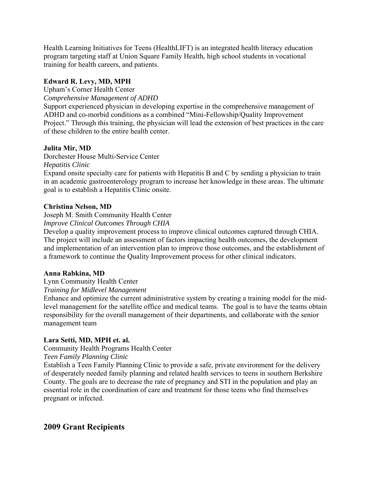Health Learning Initiatives for Teens (HealthLIFT) is an integrated health literacy education program targeting staff at Union Square Family Health, high school students in vocational training for health careers, and patients.

## **Edward R. Levy, MD, MPH**

Upham's Corner Health Center

*Comprehensive Management of ADHD* 

Support experienced physician in developing expertise in the comprehensive management of ADHD and co-morbid conditions as a combined "Mini-Fellowship/Quality Improvement Project." Through this training, the physician will lead the extension of best practices in the care of these children to the entire health center.

## **Julita Mir, MD**

Dorchester House Multi-Service Center *Hepatitis Clinic* 

Expand onsite specialty care for patients with Hepatitis B and C by sending a physician to train in an academic gastroenterology program to increase her knowledge in these areas. The ultimate goal is to establish a Hepatitis Clinic onsite.

## **Christina Nelson, MD**

Joseph M. Smith Community Health Center

*Improve Clinical Outcomes Through CHIA* 

Develop a quality improvement process to improve clinical outcomes captured through CHIA. The project will include an assessment of factors impacting health outcomes, the development and implementation of an intervention plan to improve those outcomes, and the establishment of a framework to continue the Quality Improvement process for other clinical indicators.

## **Anna Rabkina, MD**

Lynn Community Health Center

*Training for Midlevel Management* 

Enhance and optimize the current administrative system by creating a training model for the midlevel management for the satellite office and medical teams. The goal is to have the teams obtain responsibility for the overall management of their departments, and collaborate with the senior management team

## **Lara Setti, MD, MPH et. al.**

## Community Health Programs Health Center

*Teen Family Planning Clinic* 

Establish a Teen Family Planning Clinic to provide a safe, private environment for the delivery of desperately needed family planning and related health services to teens in southern Berkshire County. The goals are to decrease the rate of pregnancy and STI in the population and play an essential role in the coordination of care and treatment for those teens who find themselves pregnant or infected.

# **2009 Grant Recipients**